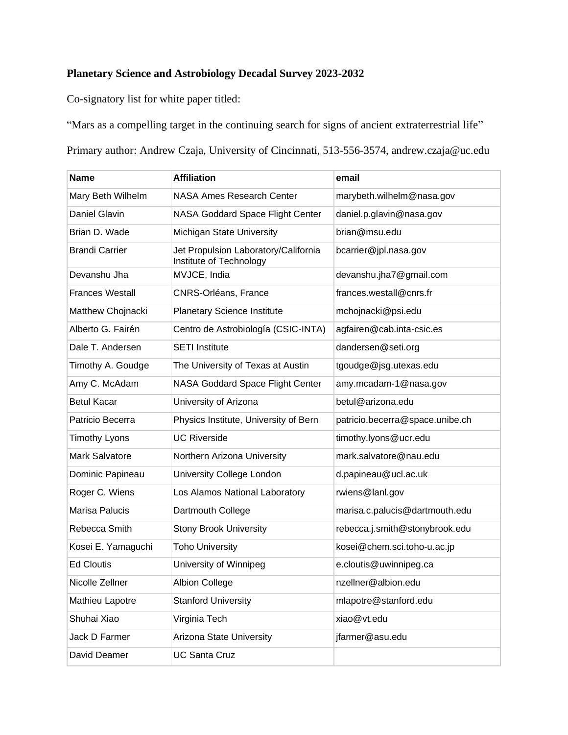## **Planetary Science and Astrobiology Decadal Survey 2023-2032**

Co-signatory list for white paper titled:

"Mars as a compelling target in the continuing search for signs of ancient extraterrestrial life"

Primary author: Andrew Czaja, University of Cincinnati, 513-556-3574, andrew.czaja@uc.edu

| <b>Name</b>            | <b>Affiliation</b>                                              | email                           |
|------------------------|-----------------------------------------------------------------|---------------------------------|
| Mary Beth Wilhelm      | NASA Ames Research Center                                       | marybeth.wilhelm@nasa.gov       |
| <b>Daniel Glavin</b>   | NASA Goddard Space Flight Center                                | daniel.p.glavin@nasa.gov        |
| Brian D. Wade          | Michigan State University                                       | brian@msu.edu                   |
| <b>Brandi Carrier</b>  | Jet Propulsion Laboratory/California<br>Institute of Technology | bcarrier@jpl.nasa.gov           |
| Devanshu Jha           | MVJCE, India                                                    | devanshu.jha7@gmail.com         |
| <b>Frances Westall</b> | CNRS-Orléans, France                                            | frances.westall@cnrs.fr         |
| Matthew Chojnacki      | <b>Planetary Science Institute</b>                              | mchojnacki@psi.edu              |
| Alberto G. Fairén      | Centro de Astrobiología (CSIC-INTA)                             | agfairen@cab.inta-csic.es       |
| Dale T. Andersen       | <b>SETI Institute</b>                                           | dandersen@seti.org              |
| Timothy A. Goudge      | The University of Texas at Austin                               | tgoudge@jsg.utexas.edu          |
| Amy C. McAdam          | NASA Goddard Space Flight Center                                | amy.mcadam-1@nasa.gov           |
| <b>Betul Kacar</b>     | University of Arizona                                           | betul@arizona.edu               |
| Patricio Becerra       | Physics Institute, University of Bern                           | patricio.becerra@space.unibe.ch |
| <b>Timothy Lyons</b>   | <b>UC Riverside</b>                                             | timothy.lyons@ucr.edu           |
| <b>Mark Salvatore</b>  | Northern Arizona University                                     | mark.salvatore@nau.edu          |
| Dominic Papineau       | University College London                                       | d.papineau@ucl.ac.uk            |
| Roger C. Wiens         | Los Alamos National Laboratory                                  | rwiens@lanl.gov                 |
| Marisa Palucis         | Dartmouth College                                               | marisa.c.palucis@dartmouth.edu  |
| Rebecca Smith          | <b>Stony Brook University</b>                                   | rebecca.j.smith@stonybrook.edu  |
| Kosei E. Yamaguchi     | <b>Toho University</b>                                          | kosei@chem.sci.toho-u.ac.jp     |
| <b>Ed Cloutis</b>      | University of Winnipeg                                          | e.cloutis@uwinnipeg.ca          |
| Nicolle Zellner        | Albion College                                                  | nzellner@albion.edu             |
| Mathieu Lapotre        | <b>Stanford University</b>                                      | mlapotre@stanford.edu           |
| Shuhai Xiao            | Virginia Tech                                                   | xiao@vt.edu                     |
| Jack D Farmer          | <b>Arizona State University</b>                                 | jfarmer@asu.edu                 |
| David Deamer           | <b>UC Santa Cruz</b>                                            |                                 |